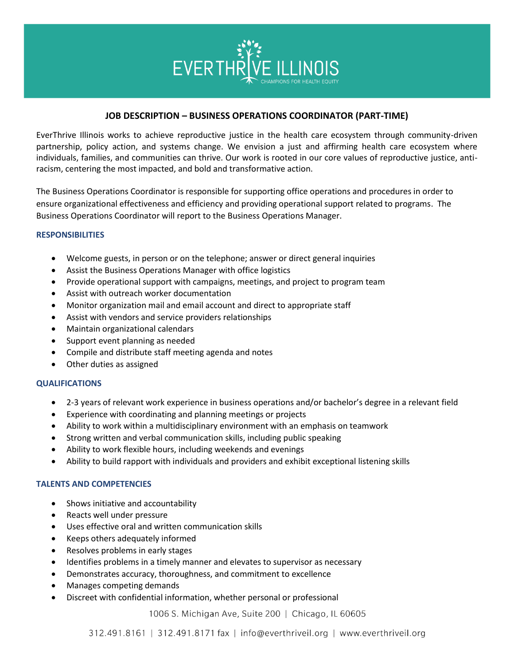

## **JOB DESCRIPTION – BUSINESS OPERATIONS COORDINATOR (PART-TIME)**

EverThrive Illinois works to achieve reproductive justice in the health care ecosystem through community-driven partnership, policy action, and systems change. We envision a just and affirming health care ecosystem where individuals, families, and communities can thrive. Our work is rooted in our core values of reproductive justice, antiracism, centering the most impacted, and bold and transformative action.

The Business Operations Coordinator is responsible for supporting office operations and procedures in order to ensure organizational effectiveness and efficiency and providing operational support related to programs. The Business Operations Coordinator will report to the Business Operations Manager.

## **RESPONSIBILITIES**

- Welcome guests, in person or on the telephone; answer or direct general inquiries
- Assist the Business Operations Manager with office logistics
- Provide operational support with campaigns, meetings, and project to program team
- Assist with outreach worker documentation
- Monitor organization mail and email account and direct to appropriate staff
- Assist with vendors and service providers relationships
- Maintain organizational calendars
- Support event planning as needed
- Compile and distribute staff meeting agenda and notes
- Other duties as assigned

## **QUALIFICATIONS**

- 2-3 years of relevant work experience in business operations and/or bachelor's degree in a relevant field
- Experience with coordinating and planning meetings or projects
- Ability to work within a multidisciplinary environment with an emphasis on teamwork
- Strong written and verbal communication skills, including public speaking
- Ability to work flexible hours, including weekends and evenings
- Ability to build rapport with individuals and providers and exhibit exceptional listening skills

## **TALENTS AND COMPETENCIES**

- Shows initiative and accountability
- Reacts well under pressure
- Uses effective oral and written communication skills
- Keeps others adequately informed
- Resolves problems in early stages
- Identifies problems in a timely manner and elevates to supervisor as necessary
- Demonstrates accuracy, thoroughness, and commitment to excellence
- Manages competing demands
- Discreet with confidential information, whether personal or professional

1006 S. Michigan Ave, Suite 200 | Chicago, IL 60605